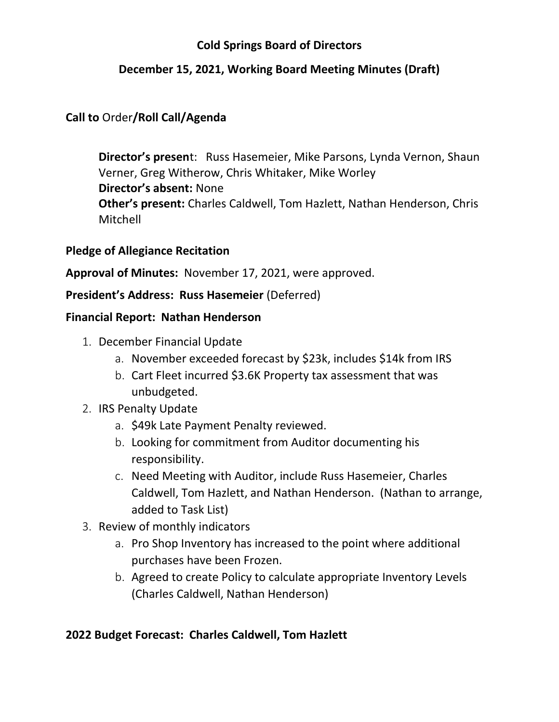## **Cold Springs Board of Directors**

## **December 15, 2021, Working Board Meeting Minutes (Draft)**

## **Call to** Order**/Roll Call/Agenda**

**Director's presen**t: Russ Hasemeier, Mike Parsons, Lynda Vernon, Shaun Verner, Greg Witherow, Chris Whitaker, Mike Worley **Director's absent:** None **Other's present:** Charles Caldwell, Tom Hazlett, Nathan Henderson, Chris Mitchell

## **Pledge of Allegiance Recitation**

## **Approval of Minutes:** November 17, 2021, were approved.

## **President's Address: Russ Hasemeier** (Deferred)

## **Financial Report: Nathan Henderson**

- 1. December Financial Update
	- a. November exceeded forecast by \$23k, includes \$14k from IRS
	- b. Cart Fleet incurred \$3.6K Property tax assessment that was unbudgeted.
- 2. IRS Penalty Update
	- a. \$49k Late Payment Penalty reviewed.
	- b. Looking for commitment from Auditor documenting his responsibility.
	- c. Need Meeting with Auditor, include Russ Hasemeier, Charles Caldwell, Tom Hazlett, and Nathan Henderson. (Nathan to arrange, added to Task List)
- 3. Review of monthly indicators
	- a. Pro Shop Inventory has increased to the point where additional purchases have been Frozen.
	- b. Agreed to create Policy to calculate appropriate Inventory Levels (Charles Caldwell, Nathan Henderson)

## **2022 Budget Forecast: Charles Caldwell, Tom Hazlett**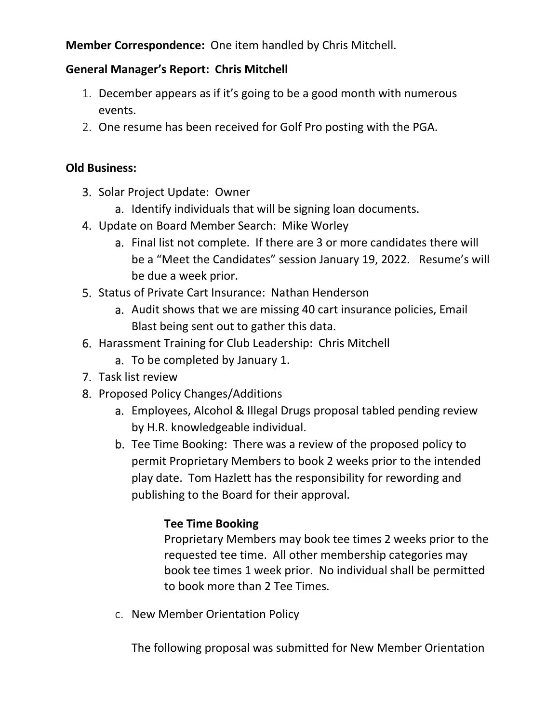**Member Correspondence:** One item handled by Chris Mitchell.

# **General Manager's Report: Chris Mitchell**

- 1. December appears as if it's going to be a good month with numerous events.
- 2. One resume has been received for Golf Pro posting with the PGA.

# **Old Business:**

- 3. Solar Project Update: Owner
	- a. Identify individuals that will be signing loan documents.
- 4. Update on Board Member Search: Mike Worley
	- a. Final list not complete. If there are 3 or more candidates there will be a "Meet the Candidates" session January 19, 2022. Resume's will be due a week prior.
- 5. Status of Private Cart Insurance: Nathan Henderson
	- a. Audit shows that we are missing 40 cart insurance policies, Email Blast being sent out to gather this data.
- 6. Harassment Training for Club Leadership: Chris Mitchell
	- a. To be completed by January 1.
- 7. Task list review
- 8. Proposed Policy Changes/Additions
	- a. Employees, Alcohol & Illegal Drugs proposal tabled pending review by H.R. knowledgeable individual.
	- b. Tee Time Booking: There was a review of the proposed policy to permit Proprietary Members to book 2 weeks prior to the intended play date. Tom Hazlett has the responsibility for rewording and publishing to the Board for their approval.

# **Tee Time Booking**

Proprietary Members may book tee times 2 weeks prior to the requested tee time. All other membership categories may book tee times 1 week prior. No individual shall be permitted to book more than 2 Tee Times.

c. New Member Orientation Policy

The following proposal was submitted for New Member Orientation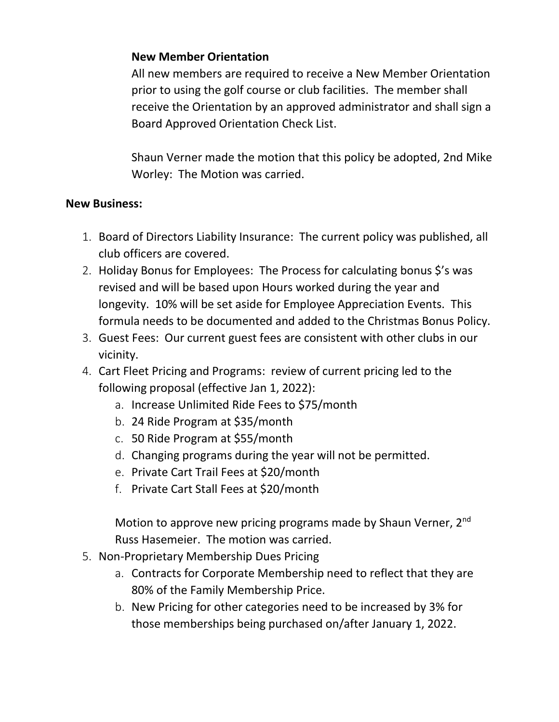## **New Member Orientation**

All new members are required to receive a New Member Orientation prior to using the golf course or club facilities. The member shall receive the Orientation by an approved administrator and shall sign a Board Approved Orientation Check List.

Shaun Verner made the motion that this policy be adopted, 2nd Mike Worley: The Motion was carried.

## **New Business:**

- 1. Board of Directors Liability Insurance: The current policy was published, all club officers are covered.
- 2. Holiday Bonus for Employees: The Process for calculating bonus \$'s was revised and will be based upon Hours worked during the year and longevity. 10% will be set aside for Employee Appreciation Events. This formula needs to be documented and added to the Christmas Bonus Policy.
- 3. Guest Fees: Our current guest fees are consistent with other clubs in our vicinity.
- 4. Cart Fleet Pricing and Programs: review of current pricing led to the following proposal (effective Jan 1, 2022):
	- a. Increase Unlimited Ride Fees to \$75/month
	- b. 24 Ride Program at \$35/month
	- c. 50 Ride Program at \$55/month
	- d. Changing programs during the year will not be permitted.
	- e. Private Cart Trail Fees at \$20/month
	- f. Private Cart Stall Fees at \$20/month

Motion to approve new pricing programs made by Shaun Verner, 2<sup>nd</sup> Russ Hasemeier. The motion was carried.

- 5. Non-Proprietary Membership Dues Pricing
	- a. Contracts for Corporate Membership need to reflect that they are 80% of the Family Membership Price.
	- b. New Pricing for other categories need to be increased by 3% for those memberships being purchased on/after January 1, 2022.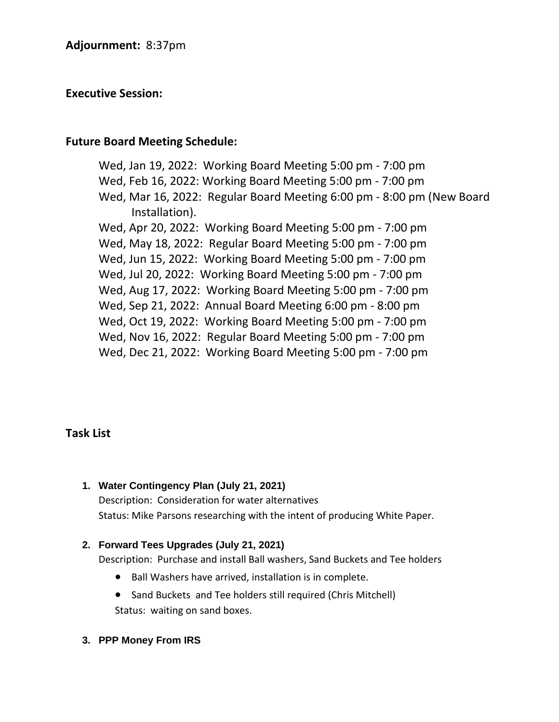### **Executive Session:**

### **Future Board Meeting Schedule:**

Wed, Jan 19, 2022: Working Board Meeting 5:00 pm - 7:00 pm Wed, Feb 16, 2022: Working Board Meeting 5:00 pm - 7:00 pm Wed, Mar 16, 2022: Regular Board Meeting 6:00 pm - 8:00 pm (New Board Installation). Wed, Apr 20, 2022: Working Board Meeting 5:00 pm - 7:00 pm Wed, May 18, 2022: Regular Board Meeting 5:00 pm - 7:00 pm Wed, Jun 15, 2022: Working Board Meeting 5:00 pm - 7:00 pm Wed, Jul 20, 2022: Working Board Meeting 5:00 pm - 7:00 pm Wed, Aug 17, 2022: Working Board Meeting 5:00 pm - 7:00 pm Wed, Sep 21, 2022: Annual Board Meeting 6:00 pm - 8:00 pm Wed, Oct 19, 2022: Working Board Meeting 5:00 pm - 7:00 pm Wed, Nov 16, 2022: Regular Board Meeting 5:00 pm - 7:00 pm Wed, Dec 21, 2022: Working Board Meeting 5:00 pm - 7:00 pm

### **Task List**

**1. Water Contingency Plan (July 21, 2021)** Description: Consideration for water alternatives Status: Mike Parsons researching with the intent of producing White Paper.

### **2. Forward Tees Upgrades (July 21, 2021)**

Description: Purchase and install Ball washers, Sand Buckets and Tee holders

- Ball Washers have arrived, installation is in complete.
- Sand Buckets and Tee holders still required (Chris Mitchell)

Status: waiting on sand boxes.

**3. PPP Money From IRS**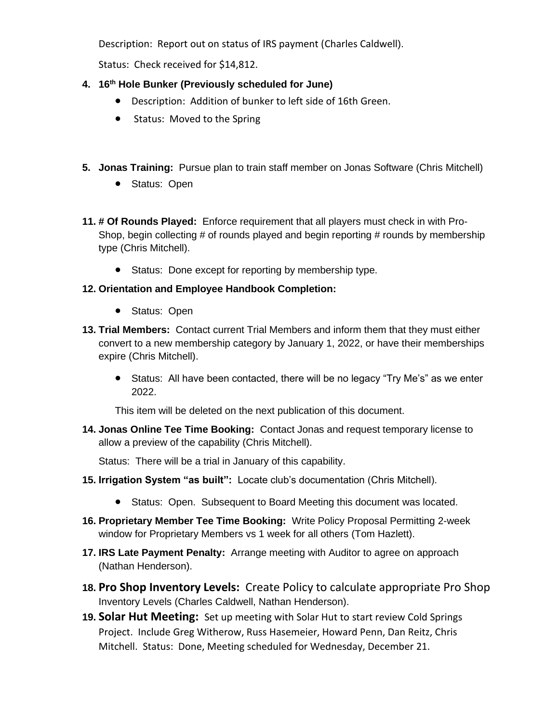Description: Report out on status of IRS payment (Charles Caldwell).

Status: Check received for \$14,812.

### **4. 16th Hole Bunker (Previously scheduled for June)**

- Description: Addition of bunker to left side of 16th Green.
- Status: Moved to the Spring
- **5. Jonas Training:** Pursue plan to train staff member on Jonas Software (Chris Mitchell)
	- Status: Open
- **11. # Of Rounds Played:** Enforce requirement that all players must check in with Pro-Shop, begin collecting # of rounds played and begin reporting # rounds by membership type (Chris Mitchell).
	- Status: Done except for reporting by membership type.

### **12. Orientation and Employee Handbook Completion:**

- Status: Open
- **13. Trial Members:** Contact current Trial Members and inform them that they must either convert to a new membership category by January 1, 2022, or have their memberships expire (Chris Mitchell).
	- Status: All have been contacted, there will be no legacy "Try Me's" as we enter 2022.

This item will be deleted on the next publication of this document.

**14. Jonas Online Tee Time Booking:** Contact Jonas and request temporary license to allow a preview of the capability (Chris Mitchell).

Status: There will be a trial in January of this capability.

- **15. Irrigation System "as built":** Locate club's documentation (Chris Mitchell).
	- Status: Open. Subsequent to Board Meeting this document was located.
- **16. Proprietary Member Tee Time Booking:** Write Policy Proposal Permitting 2-week window for Proprietary Members vs 1 week for all others (Tom Hazlett).
- **17. IRS Late Payment Penalty:** Arrange meeting with Auditor to agree on approach (Nathan Henderson).
- **18. Pro Shop Inventory Levels:** Create Policy to calculate appropriate Pro Shop Inventory Levels (Charles Caldwell, Nathan Henderson).
- **19. Solar Hut Meeting:** Set up meeting with Solar Hut to start review Cold Springs Project. Include Greg Witherow, Russ Hasemeier, Howard Penn, Dan Reitz, Chris Mitchell. Status: Done, Meeting scheduled for Wednesday, December 21.